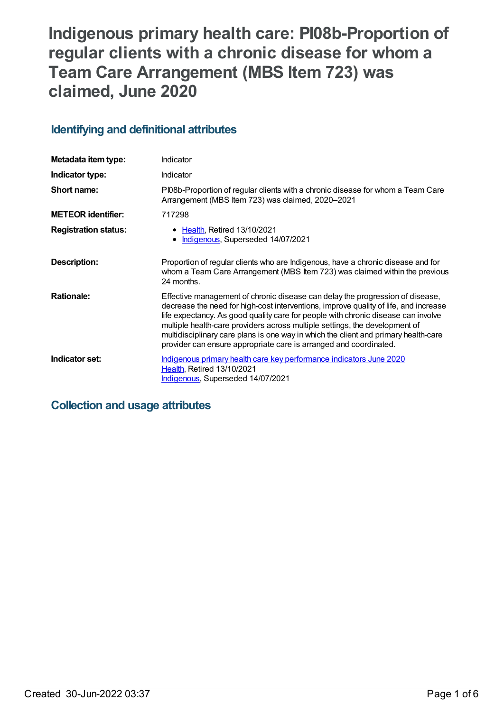# **Indigenous primary health care: PI08b-Proportion of regular clients with a chronic disease for whom a Team Care Arrangement (MBS Item 723) was claimed, June 2020**

## **Identifying and definitional attributes**

| Metadata item type:         | Indicator                                                                                                                                                                                                                                                                                                                                                                                                                                                                                             |
|-----------------------------|-------------------------------------------------------------------------------------------------------------------------------------------------------------------------------------------------------------------------------------------------------------------------------------------------------------------------------------------------------------------------------------------------------------------------------------------------------------------------------------------------------|
| Indicator type:             | <b>Indicator</b>                                                                                                                                                                                                                                                                                                                                                                                                                                                                                      |
| Short name:                 | PI08b-Proportion of regular clients with a chronic disease for whom a Team Care<br>Arrangement (MBS Item 723) was claimed, 2020-2021                                                                                                                                                                                                                                                                                                                                                                  |
| <b>METEOR identifier:</b>   | 717298                                                                                                                                                                                                                                                                                                                                                                                                                                                                                                |
| <b>Registration status:</b> | • Health, Retired 13/10/2021<br>Indigenous, Superseded 14/07/2021                                                                                                                                                                                                                                                                                                                                                                                                                                     |
| Description:                | Proportion of regular clients who are Indigenous, have a chronic disease and for<br>whom a Team Care Arrangement (MBS Item 723) was claimed within the previous<br>24 months.                                                                                                                                                                                                                                                                                                                         |
| <b>Rationale:</b>           | Effective management of chronic disease can delay the progression of disease,<br>decrease the need for high-cost interventions, improve quality of life, and increase<br>life expectancy. As good quality care for people with chronic disease can involve<br>multiple health-care providers across multiple settings, the development of<br>multidisciplinary care plans is one way in which the client and primary health-care<br>provider can ensure appropriate care is arranged and coordinated. |
| Indicator set:              | Indigenous primary health care key performance indicators June 2020<br><b>Health, Retired 13/10/2021</b><br>Indigenous, Superseded 14/07/2021                                                                                                                                                                                                                                                                                                                                                         |

## **Collection and usage attributes**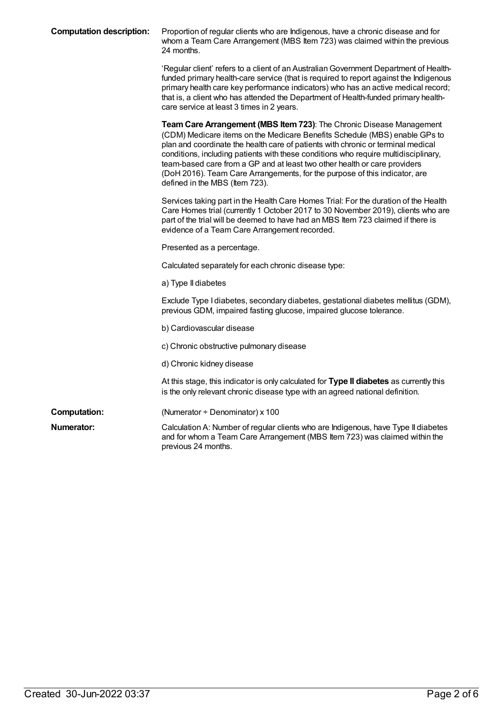| <b>Computation description:</b> | Proportion of regular clients who are Indigenous, have a chronic disease and for<br>whom a Team Care Arrangement (MBS Item 723) was claimed within the previous<br>24 months.                                                                                                                                                                                                                                                                                                                                              |
|---------------------------------|----------------------------------------------------------------------------------------------------------------------------------------------------------------------------------------------------------------------------------------------------------------------------------------------------------------------------------------------------------------------------------------------------------------------------------------------------------------------------------------------------------------------------|
|                                 | 'Regular client' refers to a client of an Australian Government Department of Health-<br>funded primary health-care service (that is required to report against the Indigenous<br>primary health care key performance indicators) who has an active medical record;<br>that is, a client who has attended the Department of Health-funded primary health-<br>care service at least 3 times in 2 years.                                                                                                                     |
|                                 | Team Care Arrangement (MBS Item 723): The Chronic Disease Management<br>(CDM) Medicare items on the Medicare Benefits Schedule (MBS) enable GPs to<br>plan and coordinate the health care of patients with chronic or terminal medical<br>conditions, including patients with these conditions who require multidisciplinary,<br>team-based care from a GP and at least two other health or care providers<br>(DoH 2016). Team Care Arrangements, for the purpose of this indicator, are<br>defined in the MBS (Item 723). |
|                                 | Services taking part in the Health Care Homes Trial: For the duration of the Health<br>Care Homes trial (currently 1 October 2017 to 30 November 2019), clients who are<br>part of the trial will be deemed to have had an MBS Item 723 claimed if there is<br>evidence of a Team Care Arrangement recorded.                                                                                                                                                                                                               |
|                                 | Presented as a percentage.                                                                                                                                                                                                                                                                                                                                                                                                                                                                                                 |
|                                 | Calculated separately for each chronic disease type:                                                                                                                                                                                                                                                                                                                                                                                                                                                                       |
|                                 | a) Type II diabetes                                                                                                                                                                                                                                                                                                                                                                                                                                                                                                        |
|                                 | Exclude Type I diabetes, secondary diabetes, gestational diabetes mellitus (GDM),<br>previous GDM, impaired fasting glucose, impaired glucose tolerance.                                                                                                                                                                                                                                                                                                                                                                   |
|                                 | b) Cardiovascular disease                                                                                                                                                                                                                                                                                                                                                                                                                                                                                                  |
|                                 | c) Chronic obstructive pulmonary disease                                                                                                                                                                                                                                                                                                                                                                                                                                                                                   |
|                                 | d) Chronic kidney disease                                                                                                                                                                                                                                                                                                                                                                                                                                                                                                  |
|                                 | At this stage, this indicator is only calculated for Type II diabetes as currently this<br>is the only relevant chronic disease type with an agreed national definition.                                                                                                                                                                                                                                                                                                                                                   |
| <b>Computation:</b>             | (Numerator $\div$ Denominator) x 100                                                                                                                                                                                                                                                                                                                                                                                                                                                                                       |
| Numerator:                      | Calculation A: Number of regular clients who are Indigenous, have Type II diabetes<br>and for whom a Team Care Arrangement (MBS Item 723) was claimed within the<br>previous 24 months.                                                                                                                                                                                                                                                                                                                                    |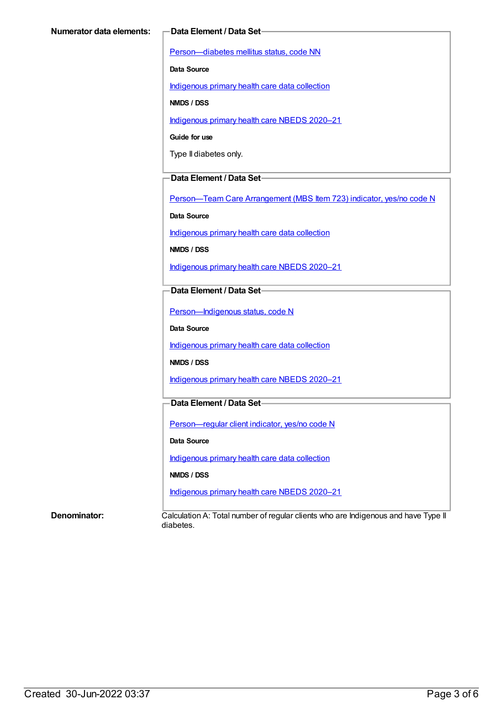[Person—diabetes](https://meteor.aihw.gov.au/content/270194) mellitus status, code NN

**Data Source**

[Indigenous](https://meteor.aihw.gov.au/content/430643) primary health care data collection

**NMDS / DSS**

[Indigenous](https://meteor.aihw.gov.au/content/715320) primary health care NBEDS 2020–21

**Guide for use**

Type II diabetes only.

#### **Data Element / Data Set**

Person-Team Care Arrangement (MBS Item 723) indicator, yes/no code N

**Data Source**

[Indigenous](https://meteor.aihw.gov.au/content/430643) primary health care data collection

**NMDS / DSS**

[Indigenous](https://meteor.aihw.gov.au/content/715320) primary health care NBEDS 2020–21

#### **Data Element / Data Set**

Person-Indigenous status, code N

**Data Source**

[Indigenous](https://meteor.aihw.gov.au/content/430643) primary health care data collection

**NMDS / DSS**

[Indigenous](https://meteor.aihw.gov.au/content/715320) primary health care NBEDS 2020–21

### **Data Element / Data Set**

[Person—regular](https://meteor.aihw.gov.au/content/686291) client indicator, yes/no code N

**Data Source**

[Indigenous](https://meteor.aihw.gov.au/content/430643) primary health care data collection

**NMDS / DSS**

[Indigenous](https://meteor.aihw.gov.au/content/715320) primary health care NBEDS 2020–21

**Denominator:** Calculation A: Total number of regular clients who are Indigenous and have Type II diabetes.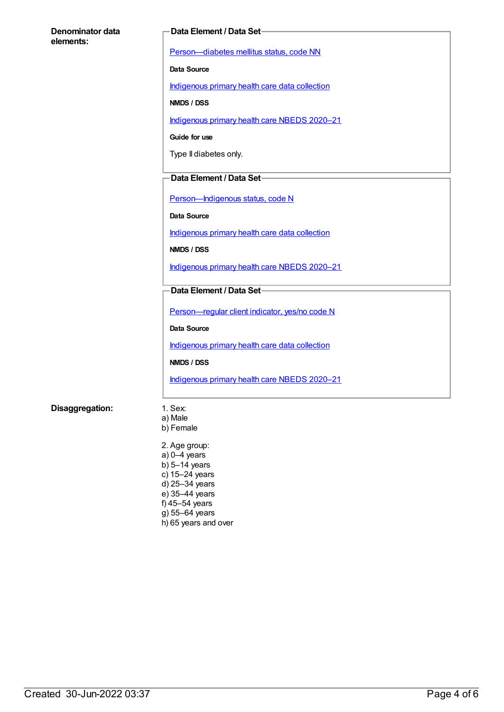#### **Denominator data elements:**

#### **Data Element / Data Set**

[Person—diabetes](https://meteor.aihw.gov.au/content/270194) mellitus status, code NN

**Data Source**

[Indigenous](https://meteor.aihw.gov.au/content/430643) primary health care data collection

**NMDS / DSS**

[Indigenous](https://meteor.aihw.gov.au/content/715320) primary health care NBEDS 2020–21

**Guide for use**

Type II diabetes only.

#### **Data Element / Data Set**

Person-Indigenous status, code N

**Data Source**

[Indigenous](https://meteor.aihw.gov.au/content/430643) primary health care data collection

**NMDS / DSS**

[Indigenous](https://meteor.aihw.gov.au/content/715320) primary health care NBEDS 2020–21

### **Data Element / Data Set**

[Person—regular](https://meteor.aihw.gov.au/content/686291) client indicator, yes/no code N

**Data Source**

[Indigenous](https://meteor.aihw.gov.au/content/430643) primary health care data collection

**NMDS / DSS**

[Indigenous](https://meteor.aihw.gov.au/content/715320) primary health care NBEDS 2020–21

#### **Disaggregation:** 1. Sex:

- 
- a) Male b) Female
- 2. Age group: a) 0–4 years b) 5–14 years c) 15–24 years d) 25–34 years e) 35–44 years f) 45–54 years g) 55–64 years h) 65 years and over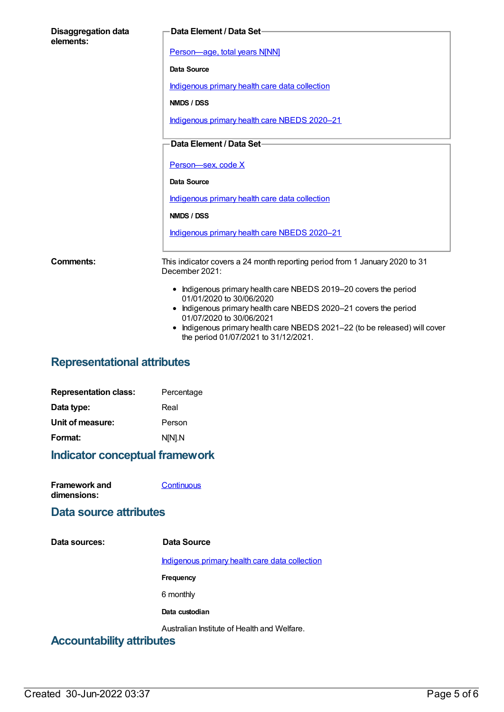| <b>Disaggregation data</b><br>elements: | Data Element / Data Set-                                                                                         |
|-----------------------------------------|------------------------------------------------------------------------------------------------------------------|
|                                         | Person-age, total years N[NN]                                                                                    |
|                                         | Data Source                                                                                                      |
|                                         | Indigenous primary health care data collection                                                                   |
|                                         | NMDS / DSS                                                                                                       |
|                                         | Indigenous primary health care NBEDS 2020-21                                                                     |
|                                         | Data Element / Data Set-                                                                                         |
|                                         |                                                                                                                  |
|                                         | Person-sex, code X                                                                                               |
|                                         | <b>Data Source</b>                                                                                               |
|                                         | Indigenous primary health care data collection                                                                   |
|                                         | NMDS / DSS                                                                                                       |
|                                         | Indigenous primary health care NBEDS 2020-21                                                                     |
| Comments:                               | This indicator covers a 24 month reporting period from 1 January 2020 to 31<br>December 2021:                    |
|                                         | • Indigenous primary health care NBEDS 2019-20 covers the period<br>01/01/2020 to 30/06/2020                     |
|                                         | • Indigenous primary health care NBEDS 2020-21 covers the period<br>01/07/2020 to 30/06/2021                     |
|                                         | Indigenous primary health care NBEDS 2021-22 (to be released) will cover<br>the period 01/07/2021 to 31/12/2021. |

# **Representational attributes**

| <b>Representation class:</b> | Percentage |
|------------------------------|------------|
| Data type:                   | Real       |
| Unit of measure:             | Person     |
| Format:                      | N[N].N     |
|                              |            |

# **Indicator conceptual framework**

| <b>Framework and</b> | Continuous |
|----------------------|------------|
| dimensions:          |            |

## **Data source attributes**

| Data sources:                    | Data Source                                    |
|----------------------------------|------------------------------------------------|
|                                  | Indigenous primary health care data collection |
|                                  | Frequency                                      |
|                                  | 6 monthly                                      |
|                                  | Data custodian                                 |
| <b>Accountability attributes</b> | Australian Institute of Health and Welfare.    |